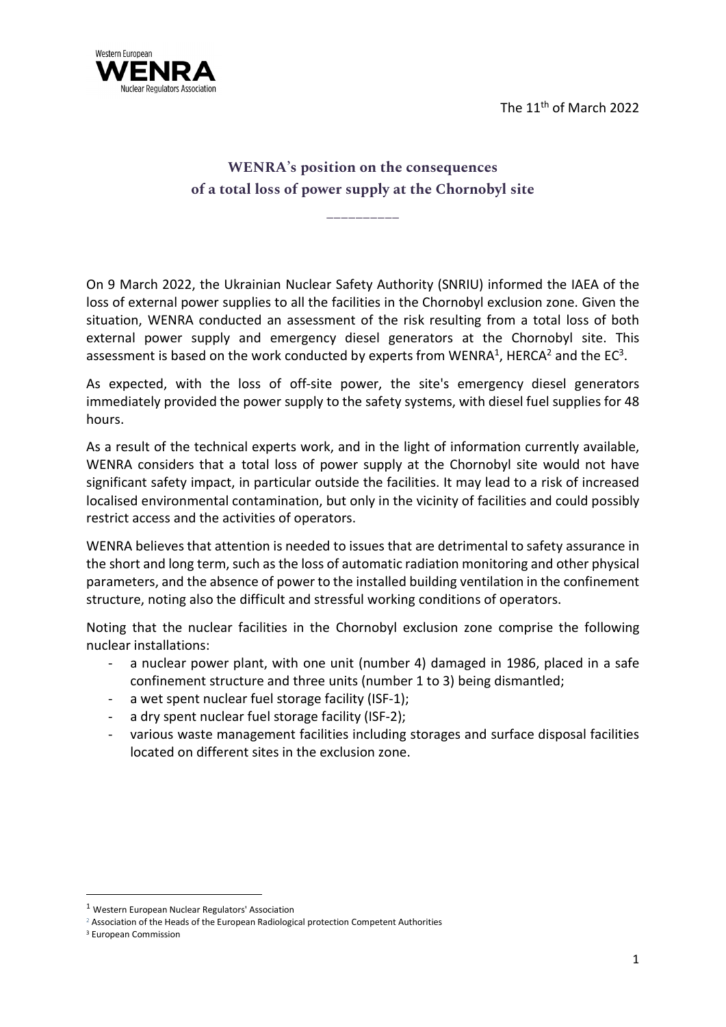The 11th of March 2022



## WENRA's position on the consequences of a total loss of power supply at the Chornobyl site

\_\_\_\_\_\_\_\_\_\_

On 9 March 2022, the Ukrainian Nuclear Safety Authority (SNRIU) informed the IAEA of the loss of external power supplies to all the facilities in the Chornobyl exclusion zone. Given the situation, WENRA conducted an assessment of the risk resulting from a total loss of both external power supply and emergency diesel generators at the Chornobyl site. This assessment is based on the work conducted by experts from WENRA<sup>1</sup>, HERCA<sup>2</sup> and the EC<sup>3</sup>.

As expected, with the loss of off-site power, the site's emergency diesel generators immediately provided the power supply to the safety systems, with diesel fuel supplies for 48 hours.

As a result of the technical experts work, and in the light of information currently available, WENRA considers that a total loss of power supply at the Chornobyl site would not have significant safety impact, in particular outside the facilities. It may lead to a risk of increased localised environmental contamination, but only in the vicinity of facilities and could possibly restrict access and the activities of operators.

WENRA believes that attention is needed to issues that are detrimental to safety assurance in the short and long term, such as the loss of automatic radiation monitoring and other physical parameters, and the absence of power to the installed building ventilation in the confinement structure, noting also the difficult and stressful working conditions of operators.

Noting that the nuclear facilities in the Chornobyl exclusion zone comprise the following nuclear installations:

- a nuclear power plant, with one unit (number 4) damaged in 1986, placed in a safe confinement structure and three units (number 1 to 3) being dismantled;
- a wet spent nuclear fuel storage facility (ISF-1);
- a dry spent nuclear fuel storage facility (ISF-2);
- various waste management facilities including storages and surface disposal facilities located on different sites in the exclusion zone.

<sup>1</sup> Western European Nuclear Regulators' Association

<sup>&</sup>lt;sup>2</sup> Association of the Heads of the European Radiological protection Competent Authorities

<sup>3</sup> European Commission